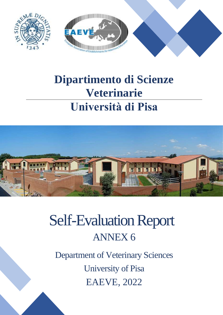

## **Dipartimento di Scienze Veterinarie Università di Pisa**

 $SU_{P}$ 



# Self-Evaluation Report ANNEX 6

Department of Veterinary Sciences University of Pisa EAEVE, 2022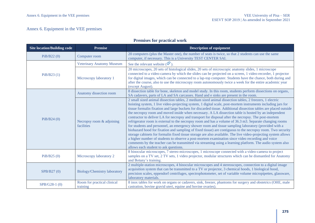#### Annex 6. Equipment in the VEE premises

#### **Premises for practical work**

| <b>Site location/Building code</b> | <b>Premise</b>                          | <b>Description of equipment</b>                                                                                                                                                                                                                                                                                                                                                                                                                                                                                                                                                                                                                                                                                                                                                                                                                                                                                                                                                                                                                                                                                                                                                                                                                                           |
|------------------------------------|-----------------------------------------|---------------------------------------------------------------------------------------------------------------------------------------------------------------------------------------------------------------------------------------------------------------------------------------------------------------------------------------------------------------------------------------------------------------------------------------------------------------------------------------------------------------------------------------------------------------------------------------------------------------------------------------------------------------------------------------------------------------------------------------------------------------------------------------------------------------------------------------------------------------------------------------------------------------------------------------------------------------------------------------------------------------------------------------------------------------------------------------------------------------------------------------------------------------------------------------------------------------------------------------------------------------------------|
| PiB/B22(0)                         | Computer room                           | 20 computers (plus the Master one), the number of seats is twice, so that 2 students can use the same<br>computer, if necessary. This is a University TEST CENTER SAI.                                                                                                                                                                                                                                                                                                                                                                                                                                                                                                                                                                                                                                                                                                                                                                                                                                                                                                                                                                                                                                                                                                    |
|                                    | <b>Veterinary Anatomy Museum</b>        | See the relevant website $(\widehat{\mathfrak{S}})$ .                                                                                                                                                                                                                                                                                                                                                                                                                                                                                                                                                                                                                                                                                                                                                                                                                                                                                                                                                                                                                                                                                                                                                                                                                     |
| PiB/B23(1)                         | Microscopy laboratory 1                 | 20 microscopes, 20 sets of histological slides, 20 sets of microscopic anatomy slides, 1 microscope<br>connected to a video-camera by which the slides can be projected on a screen, 1 video-recorder, 1 projector<br>for digital images, which can be connected to a lap-top computer. Students have the chance, both during and<br>after the course, also to use the microscopy room autonomously twice a week for the entire academic year<br>(except August).                                                                                                                                                                                                                                                                                                                                                                                                                                                                                                                                                                                                                                                                                                                                                                                                         |
|                                    | Anatomy dissection room                 | 8 dissection table for bone, skeleton and model study. In this room, students perform dissections on organs,<br>SA cadavers, parts of LA and SA carcasses. Hand and e sinks are present in the room.                                                                                                                                                                                                                                                                                                                                                                                                                                                                                                                                                                                                                                                                                                                                                                                                                                                                                                                                                                                                                                                                      |
| PiB/B24(0)                         | Necropsy room & adjoining<br>facilities | 2 small sized animal dissection tables, 2 medium sized animal dissection tables, 2 freezers, 1 electric<br>hoisting system, 1 live video-projecting system, 1 digital scale, post-mortem instruments including jars for<br>tissue formalin fixation and large buckets for discarded tissue. Additional dissection tables are placed outside<br>the necropsy room and moved inside when necessary. A LA dissection table is hosted by an independent<br>contractor to deliver LA for necropsy and transport for disposal after the necropsy. The post-mortem<br>refrigerator room is external to the necropsy room and has a volume of 36.3 m3. Separate changing rooms<br>for students and personnel, an emergency shower room and tissue sampling laboratory (provided with a<br>biohazard hood for fixation and sampling of fixed tissue) are contiguous to the necropsy room. Two security<br>storage cabinets for formalin fixed tissue storage are also available. The live video-projecting system allows<br>a higher number of students to observe a post-mortem examination since video recording and voice<br>comments by the teacher can be transmitted via streaming using a learning platform. The audio system also<br>allows each student to ask questions. |
| PiB/B25(0)                         | Microscopy laboratory 2                 | 8 binocular microscopes, 7 stereo-microscopes, 1 microscope connected with a video-camera to project<br>samples on a TV set, 2 TV sets, 1 video projector, modular structures which can be dismantled for Anatomy<br>and Botany's training.                                                                                                                                                                                                                                                                                                                                                                                                                                                                                                                                                                                                                                                                                                                                                                                                                                                                                                                                                                                                                               |
| SPB/B27 (0)                        | Biology/Chemistry laboratory            | 2 multiple-station microscopes, 4 binocular microscopes and 4 stereoscopes, connection to a digital image<br>acquisition system that can be transmitted to a TV or projector, 3 chemical hoods, 1 biological hood,<br>precision scales, eppendorf centrifuges, spectrophotometer, set of variable volume micropipettes, glassware,<br>laboratory materials.                                                                                                                                                                                                                                                                                                                                                                                                                                                                                                                                                                                                                                                                                                                                                                                                                                                                                                               |
| SPB/G28-1 (0)                      | Room for practical clinical<br>training | 8 inox tables for work on organs or cadavers, sink, freezer, phantoms for surgery and obstetrics (OHE, male<br>castration, bovine gravid uteri, equine and bovine ovaries).                                                                                                                                                                                                                                                                                                                                                                                                                                                                                                                                                                                                                                                                                                                                                                                                                                                                                                                                                                                                                                                                                               |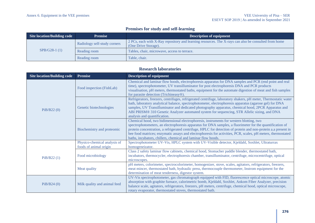#### **Premises for study and self-learning**

| Site location/Building code | <b>Premise</b>               | <b>Description of equipment</b>                                                                                              |
|-----------------------------|------------------------------|------------------------------------------------------------------------------------------------------------------------------|
| $SPB/G28-1(1)$              | Radiology self-study corners | 2 PCs, each with X-Ray repository and learning resources. The X-rays can also be consulted from home<br>(One Drive Storage). |
|                             | Reading room                 | Tables, chair, microwave, access to terrace.                                                                                 |
|                             | Reading room                 | Table, chair.                                                                                                                |

#### **Research laboratories**

| <b>Site location/Building code</b> | <b>Premise</b>                                         | <b>Description of equipment</b>                                                                                                                                                                                                                                                                                                                                                                                                                                                                         |
|------------------------------------|--------------------------------------------------------|---------------------------------------------------------------------------------------------------------------------------------------------------------------------------------------------------------------------------------------------------------------------------------------------------------------------------------------------------------------------------------------------------------------------------------------------------------------------------------------------------------|
| PiB/B22(0)                         | Food inspection (FishLab)                              | Chemical and laminar flow hoods, electrophoresis apparatus for DNA samples and PCR (end point and real<br>time), spectrophotometer, UV transilluminator for post electrophoresis DNA and PCR products<br>visualisation, pH meters, thermostated baths, equipment for the automate digestion of meat and fish samples<br>for parasite detection (Trichineasy®).                                                                                                                                          |
|                                    | Genetic biotechnologies                                | Refrigerators, freezers, centrifuges, refrigerated centrifuge, laboratory shakers, pH meter, Thermostatic water<br>bath, laboratory analytical balance, spectrophotometer, electrophoresis apparatus (agarose gel) for DNA<br>samples, UV Transilluminator and dedicated photography apparatus, chemical hood, 2PCR Apparatus and<br>ABI PRISM® 310 Genetic Analyzer automated system for sequencing, STR Allelic sizing, and DNA<br>analysis and quantification.                                       |
|                                    | Biochemistry and proteomic                             | Chemical hood, two bidimensional electrophoresis, instruments for western blotting, two<br>spectrophotometers, an electrophoresis apparatus for DNA samples, a fluorimeter for the quantification of<br>protein concentration, a refrigerated centrifuge, HPLC for detection of protein and non-protein a.a present in<br>bee food matrices; enzymatic assays and electrophoresis for activities, PCR, scales, pH meters, thermostated<br>baths, incubators, chillers, chemical and laminar flow hoods. |
| PiB/B22(1)                         | Physico-chemical analysis of<br>foods of animal origin | Spectrophotometer UV-Vis, HPLC system with UV-Visible detector, Kjeldahl, Soxhlet, Ultraturrax<br>homogeneizator.                                                                                                                                                                                                                                                                                                                                                                                       |
|                                    | Food microbiology                                      | Class 2 safety laminar flow cabinets, chemical hood, Stomacher paddle blender, thermostated bath,<br>incubators, thermocycler, electrophoresis chamber, transilluminator, centrifuge, microcentrifuge, optical<br>microscopes.                                                                                                                                                                                                                                                                          |
|                                    | Meat quality                                           | pH meters, colorimeter, spectrocolorimeter, homogenizer, stove, scales, agitators, refrigerators, freezers,<br>meat mincer, thermostated bath, hydraulic press, thermocouple thermometer, Instrom equipment for the<br>determination of meat tenderness, digestor system.                                                                                                                                                                                                                               |
| PiB/B24(0)                         | Milk quality and animal feed                           | UV-Vis spectrophotometer, gas chromatograph equipped with FID, fluorescence optical microscope, atomic<br>absorption with graphite furnace, calorimetric bomb, Kjeldahl, Soxhlet, Ankom Fiber Analyzer, precision<br>balance scale, agitators, refrigerators, freezers, pH meters, centrifuge, chemical hood, optical microscope,<br>rotary evaporator, thermostated stoves, thermostated bath.                                                                                                         |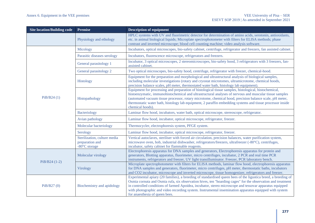| <b>Site location/Building code</b> | <b>Premise</b>                                                   | <b>Description of equipment</b>                                                                                                                                                                                                                                                                                                                                                                                                                                                       |
|------------------------------------|------------------------------------------------------------------|---------------------------------------------------------------------------------------------------------------------------------------------------------------------------------------------------------------------------------------------------------------------------------------------------------------------------------------------------------------------------------------------------------------------------------------------------------------------------------------|
|                                    | Physiology and ethology                                          | HPLC systems with UV and fluorimetric detector for determination of amino acids, serotonin, antioxidants,<br>etc. in animal biological liquids; Microplate spectrophotometer with filters for ELISA methods; phase<br>contrast and inverted microscope; blood cell counting machine; video analysis software.                                                                                                                                                                         |
|                                    | Micology                                                         | Incubators, optical microscopes, bio-safety cabinet, centrifuge, refrigerator and freezers, fan assisted cabinet.                                                                                                                                                                                                                                                                                                                                                                     |
|                                    | Parasitic diseases serology                                      | Incubators, fluorescence microscope, refrigerators and freezers.                                                                                                                                                                                                                                                                                                                                                                                                                      |
|                                    | General parasitology 1                                           | Incubator, 3 optical microscopes, 2 stereomicroscopes, bio-safety hood, 3 refrigerators with 3 freezers, fan-<br>assisted cabinet.                                                                                                                                                                                                                                                                                                                                                    |
|                                    | General parasitology 2                                           | Two optical microscopes, bio-safety hood, centrifuge, refrigerator with freezer, chemical-hood.                                                                                                                                                                                                                                                                                                                                                                                       |
| PiB/B24(1)                         | Histology                                                        | Equipment for the preparation and morphological and ultrastructural analysis of biological samples,<br>including molecular investigations (rotary and cryostat microtomes, ultramicrotome, chemical hoods,<br>precision balance scales, pH meter, thermostated water bath, histology lab equipment).                                                                                                                                                                                  |
|                                    | Histopathology                                                   | Equipment for processing and preparation of histological tissue samples, histological, histochemical,<br>histoenzymatic, immunohistochemical and ultrastructural analyses of nervous and muscular tissue samples<br>(automated vacuum tissue processor, rotary microtome, chemical hood, precision balance scale, pH meter,<br>thermostatic water bath, histology lab equipment, 2 paraffin embedding systems and tissue processor inside<br>chemical hoods).                         |
|                                    | <b>Bacteriology</b>                                              | Laminar flow hood, incubators, water bath, optical microscope, stereoscope, refrigerator.                                                                                                                                                                                                                                                                                                                                                                                             |
|                                    | Avian pathology                                                  | Laminar flow hood, incubator, optical microscope, refrigerator, freezer.                                                                                                                                                                                                                                                                                                                                                                                                              |
|                                    | Molecular bacteriology                                           | Thermocycler, electrophoresis system, PFGE system.                                                                                                                                                                                                                                                                                                                                                                                                                                    |
|                                    | Serology                                                         | Laminar flow hood, incubator, optical microscope, refrigerator, freezer.                                                                                                                                                                                                                                                                                                                                                                                                              |
|                                    | Sterilization, culture media<br>preparation and<br>-80°C storage | Vertical autoclaves, steriliser with forced air circulation, precision balances, water purification system,<br>microwave oven, hob, industrial dishwasher, refrigerators/freezers, ultrafreezer (-80°C), centrifuges,<br>incubator, safety cabinet for flammable reagents.                                                                                                                                                                                                            |
| $PiB/B24(1-2)$                     | Molecular virology                                               | Electrophoresis apparatus for DNA samples and generators, Electrophoresis apparatus for protein and<br>generators, Blotting apparatus, fluorimeter, micro centrifuges, incubator, 2 PCR and real time PCR<br>instruments, refrigerators and freezer, UV light transilluminator. Freezer, PCR laboratory bench.                                                                                                                                                                        |
|                                    | Virology                                                         | Microplate spectrophotometer with filters for ELISA methods, laminar flow hood, electrophoresis apparatus<br>for DNA samples and generators, fluorimeter, micro centrifuges, pH meter, thermostatic baths, incubators<br>and CO2 incubator, microscope and inverted microscope, tissue homogenizer, refrigerators and freezer.                                                                                                                                                        |
| PiB/B27(0)                         | Biochemistry and apidology                                       | Experimental apiary (20 families), a breeding of standardised queen bees of the ligustica breed, a breeding of<br>Osmia cornuta and Osmia rufa, six observation hives, ten "hoarding cages" for the observation and treatment<br>in controlled conditions of farmed Apoidea, incubator, stereo microscope and tessovar apparatus equipped<br>with photographic and video recording system. Instrumental insemination apparatus equipped with system<br>for anaesthesia of queen bees. |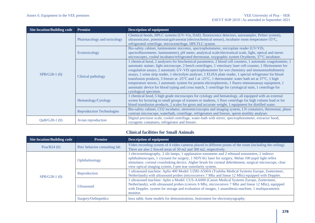| <b>Site location/Building code</b> | <b>Premise</b>                   | <b>Description of equipment</b>                                                                                                                                                                                                                                                                                                                                                                                                                                                                                                                                                                                                                                                                                                                                                                                                            |
|------------------------------------|----------------------------------|--------------------------------------------------------------------------------------------------------------------------------------------------------------------------------------------------------------------------------------------------------------------------------------------------------------------------------------------------------------------------------------------------------------------------------------------------------------------------------------------------------------------------------------------------------------------------------------------------------------------------------------------------------------------------------------------------------------------------------------------------------------------------------------------------------------------------------------------|
| SPB/G28-1 (0)                      | Pharmacology and toxicology      | Chemical hoods, HPLC systems (UV-Vis, DAD, fluorescence detectors, autosampler, Peltier system),<br>ultrasonicator, potentiostat/galvanostat (electrochemical sensor), incubator room temperature-55 °C,<br>refrigerated centrifuge, microcentrifuge, HPLTLC system.                                                                                                                                                                                                                                                                                                                                                                                                                                                                                                                                                                       |
|                                    | Ecotoxicology                    | Bio-safety cabinet, luminometer microtox, spectrophotometer, microplate reader (UV/VIS,<br>spectrofluoremeter, luminometer), pH meter, analytical scale/electronical scale, light, optical and stereo<br>microscopes, cooled incubator/refrigerated thermostat, oxygraphic system Oxytherm, 37°C incubator.                                                                                                                                                                                                                                                                                                                                                                                                                                                                                                                                |
|                                    | Clinical pathology               | 1 chemical hood, 2 analysers for biochemical parameters, 2 blood cell counters, 1 automatic coagulometer, 1<br>automatic stainer, light microscope, 2 bench centrifuges, 1 veterinary laser cell-counter, 1 fibrinometer for<br>coagulation assays, 2 automatic UV-VIS spectrophotometer for wet chemistry and immunoturbidimetric<br>assays, 1 urine strip reader, 1 electrolyte analyser, 1 ELISA plate reader, 1 special refrigerator for blood<br>transfusion products, 3 freezer at -25 $^{\circ}$ C and 1 at -25 $^{\circ}$ C, 1 thermostatic water bath set at 37 $^{\circ}$ C, 1 high<br>temperature stoves, 1 automatic system for protein electrophoresis, 1 fluoro-immunoassay equipment, 1<br>automatic device for blood typing and cross match, 1 centrifuge for cytological stain, 1 centrifuge for<br>cytological specimen. |
|                                    | Hematology/Cytology              | chemical hood, 5 high grade microscopes for cytology and hematology, all equipped with an external<br>screen for lecturing to small groups of trainees or students, 1 floor centrifuge for high volume load or for<br>blood transfusion products, 2 scales for gross and accurate weight, 1 equipment for distilled water.                                                                                                                                                                                                                                                                                                                                                                                                                                                                                                                 |
|                                    | <b>Reproduction Technologies</b> | Bio-safety cabinet, CO2 incubator, stereomicroscopes and imaging system, LN containers, thermostat, phase<br>contrast microscope, waterbath, centrifuge, refrigerators and freezer, sperm motility analyser.                                                                                                                                                                                                                                                                                                                                                                                                                                                                                                                                                                                                                               |
| $QuB/G28-1(0)$                     | Avian reproduction               | Digital precision scale, cooled centrifuge, water-bath with stirrer, spectrophotometer, extractor hood,<br>cryogenic containers, refrigerator and freezer.                                                                                                                                                                                                                                                                                                                                                                                                                                                                                                                                                                                                                                                                                 |

#### **Clinical facilities for Small Animals**

| Site location/Building code | <b>Premise</b>                | <b>Description of equipment</b>                                                                                                                                                                                                                                                                                                                                                |
|-----------------------------|-------------------------------|--------------------------------------------------------------------------------------------------------------------------------------------------------------------------------------------------------------------------------------------------------------------------------------------------------------------------------------------------------------------------------|
| Pisa/B24 $(0)$              | Pets' behavior consulting lab | Video recording system of 4 video cameras placed in different points of the room (including the ceiling).<br>There are also 2 fenced areas of 50 m2 and 300 m2, respectively.                                                                                                                                                                                                  |
| $SPB/G28-1(0)$              | Ophthalmology                 | electroretinography, 2 slit lamps, 1 applanation tonometer and 2 rebound tonometers, 2 indirect<br>ophthalmoscopes, 1 cryounit for surgery, 1 NDYAG laser for surgery, Melan 100 pupil light reflex<br>stimulator, corneal crosslinking device, Algher brush for corneal debridement, surgical microscope, clear<br>view optical imaging system, I-pen tear osmolarity system. |
|                             | Reproduction                  | ultrasound machine: Aplio 400 Model: UZRI-A500A (Toshiba Medical Systems Europe, Zoetermeer,<br>Netherlands) with ultrasound probes (microconvex 7 Mhz and linear 12 Mhz) equipped with Doppler.                                                                                                                                                                               |
|                             | <b>Ultrasound</b>             | ultrasound machine: Aplio a Model: CUS-AA000 (Canon Medical Systems Europe, Zoetermeer,<br>Netherlands), with ultrasound probes (convex 6 Mhz, microconvex 7 Mhz and linear 12 Mhz), equipped<br>with Doppler, system for storage and evaluation of images, 1 anaesthesia machine, 1 multiparametric<br>monitor.                                                               |
|                             | Surgery/Orthopedics           | Inox table, bone models for demonstrations, Instrument for electromyography.                                                                                                                                                                                                                                                                                                   |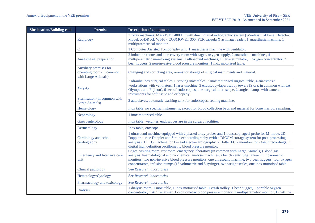| <b>Site location/Building code</b> | <b>Premise</b>                                                             | <b>Description of equipment</b>                                                                                                                                                                                                                                                                                                                                                                                                     |
|------------------------------------|----------------------------------------------------------------------------|-------------------------------------------------------------------------------------------------------------------------------------------------------------------------------------------------------------------------------------------------------------------------------------------------------------------------------------------------------------------------------------------------------------------------------------|
|                                    | Radiology                                                                  | 3 x-ray machines: MAXIVET 400 HF with direct digital radiographic system (Wireless Flat Panel Detector,<br>Model: X-DR XL WI-FI), COSMOVET 300, FCR capsula X as image reader, 1 anaesthesia machine, 1<br>multiparametrical monitor.                                                                                                                                                                                               |
|                                    | <b>CT</b>                                                                  |                                                                                                                                                                                                                                                                                                                                                                                                                                     |
|                                    |                                                                            | 1 Computer Assisted Tomography unit, 1 anaesthesia machine with ventilator.                                                                                                                                                                                                                                                                                                                                                         |
|                                    | Anaesthesia, preparation                                                   | 2 induction rooms and 1e recovery room with cages, oxygen supply, 2 anaesthetic machines, 4<br>multiparametric monitoring systems, 2 ultrasound machines, 1 nerve stimulator, 1 oxygen concentrator, 2<br>bear huggers, 2 non-invasive blood pressure monitors, 1 inox motorised table.                                                                                                                                             |
|                                    | Auxiliary premises for<br>operating room (in common<br>with Large Animals) | Changing and scrubbing area, rooms for storage of surgical instruments and material.                                                                                                                                                                                                                                                                                                                                                |
|                                    | Surgery                                                                    | 2 idraulic inox surgical tables, 6 serving inox tables, 2 inox motorised surgical table, 4 anaesthesia<br>workstations with ventilators, 1 laser-machine, 3 endoscopy/laparoscopy towers (Storz, in common with LA,<br>Olympus and Fujinon), 6 sets of endoscopies, one surgical microscope, 2 surgical lamps with camera,<br>instruments for soft tissue and orthopedy.                                                            |
|                                    | Sterilisation (in common with<br>Large Animals)                            | 2 autoclaves, automatic washing tank for endoscopes, sealing machine.                                                                                                                                                                                                                                                                                                                                                               |
|                                    | Hematology                                                                 | Inox table, no specific instruments, except for blood collection bags and material for bone marrow sampling.                                                                                                                                                                                                                                                                                                                        |
|                                    | Nephrology                                                                 | 1 inox motorised table.                                                                                                                                                                                                                                                                                                                                                                                                             |
|                                    | Gastroenterology                                                           | Inox table, weighter, endoscopes are in the surgery facilities.                                                                                                                                                                                                                                                                                                                                                                     |
|                                    | Dermatology                                                                | Inox table, otoscope.                                                                                                                                                                                                                                                                                                                                                                                                               |
|                                    | Cardiology and echo-<br>cardiography                                       | 1 ultrasound machine equipped with 2 phased array probes and 1 transesophageal probe for M-mode, 2D,<br>Doppler, tissue Doppler and Strain echocardiography (with a DICOM storage system for post-processing<br>analysis). 1 ECG machine for 12-lead electrocardiography. 2 Holter ECG monitors for 24-48h recordings. 1<br>digital high definition oscillometric blood pressure monitor.                                           |
|                                    | Emergency and Intensive care<br>unit                                       | Cages, visiting room, rest room, emergency laboratory (in common with Large Animals) (Blood gas<br>analysis, haematological and biochemical analysis machines, a bench centrifuge), three multiparametric<br>monitors, two non-invasive blood pressure monitors, one ultrasound machine, two bear huggers, four oxygen<br>concentrators, infusion pumps (15 volumetric and 8 syringe), two weight scales, one inox motorised table. |
|                                    | Clinical pathology                                                         | See Research laboratories                                                                                                                                                                                                                                                                                                                                                                                                           |
|                                    | Hematology/Cytology                                                        | See Research laboratories                                                                                                                                                                                                                                                                                                                                                                                                           |
|                                    | Pharmacology and toxicology                                                | See Research laboratories                                                                                                                                                                                                                                                                                                                                                                                                           |
|                                    | <b>Dialysis</b>                                                            | 1 dialysis room, 1 inox table, 1 inox motorised table, 1 crash trolley, 1 bear hugger, 1 portable oxygen<br>concentrator, 1 ACT analyser, 1 oscillometric blood pressure monitor, 1 multiparametric monitor, 1 CritLine                                                                                                                                                                                                             |